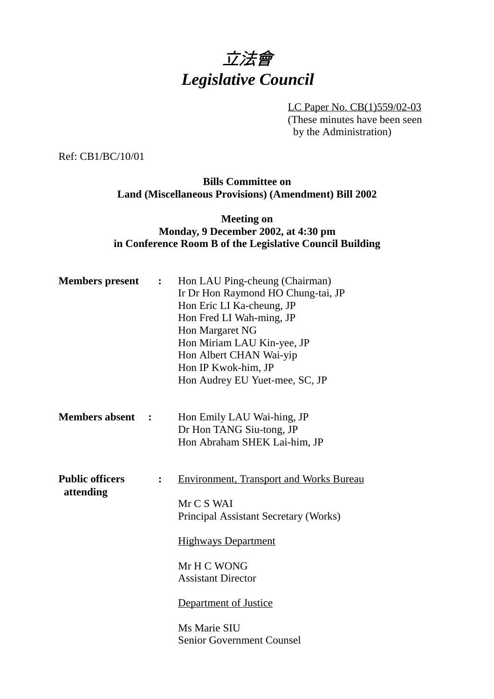

LC Paper No. CB(1)559/02-03 (These minutes have been seen by the Administration)

Ref: CB1/BC/10/01

### **Bills Committee on Land (Miscellaneous Provisions) (Amendment) Bill 2002**

## **Meeting on Monday, 9 December 2002, at 4:30 pm in Conference Room B of the Legislative Council Building**

|                      | Hon LAU Ping-cheung (Chairman)<br>Ir Dr Hon Raymond HO Chung-tai, JP<br>Hon Eric LI Ka-cheung, JP<br>Hon Fred LI Wah-ming, JP<br>Hon Margaret NG<br>Hon Miriam LAU Kin-yee, JP<br>Hon Albert CHAN Wai-yip<br>Hon IP Kwok-him, JP<br>Hon Audrey EU Yuet-mee, SC, JP |
|----------------------|--------------------------------------------------------------------------------------------------------------------------------------------------------------------------------------------------------------------------------------------------------------------|
| $\ddot{\phantom{1}}$ | Hon Emily LAU Wai-hing, JP<br>Dr Hon TANG Siu-tong, JP<br>Hon Abraham SHEK Lai-him, JP                                                                                                                                                                             |
|                      | <b>Environment, Transport and Works Bureau</b><br>Mr C S WAI<br>Principal Assistant Secretary (Works)<br><b>Highways Department</b><br>Mr H C WONG<br><b>Assistant Director</b><br>Department of Justice<br>Ms Marie SIU<br><b>Senior Government Counsel</b>       |
|                      | :<br>$\ddot{\bullet}$                                                                                                                                                                                                                                              |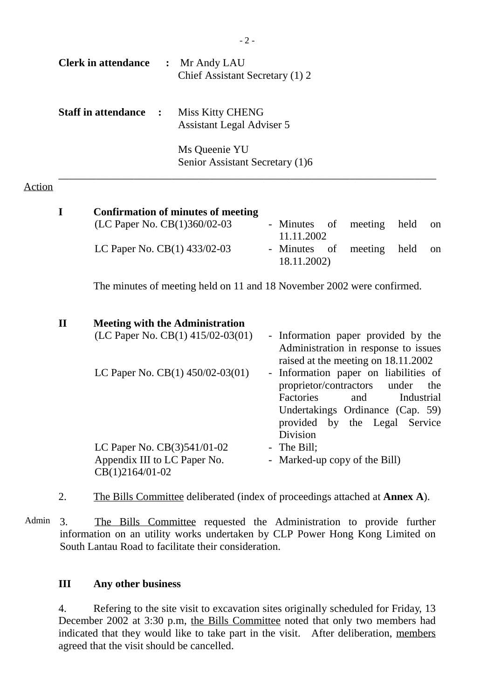| <b>Clerk in attendance</b>   | $\ddot{\cdot}$ | Mr Andy LAU<br>Chief Assistant Secretary (1) 2       |
|------------------------------|----------------|------------------------------------------------------|
| <b>Staff in attendance :</b> |                | Miss Kitty CHENG<br><b>Assistant Legal Adviser 5</b> |
|                              |                | Ms Queenie YU<br>Senior Assistant Secretary (1)6     |

#### Action

| I            | <b>Confirmation of minutes of meeting</b>                                        |                |                                                                                                                    |                                                                          |                     |               |
|--------------|----------------------------------------------------------------------------------|----------------|--------------------------------------------------------------------------------------------------------------------|--------------------------------------------------------------------------|---------------------|---------------|
|              | (LC Paper No. CB(1)360/02-03                                                     |                | - Minutes of<br>11.11.2002                                                                                         | meeting                                                                  | held                | <sub>on</sub> |
|              | LC Paper No. $CB(1)$ 433/02-03                                                   |                | - Minutes of<br>18.11.2002)                                                                                        | meeting                                                                  | held                | $_{\rm on}$   |
|              | The minutes of meeting held on 11 and 18 November 2002 were confirmed.           |                |                                                                                                                    |                                                                          |                     |               |
| $\mathbf{I}$ | <b>Meeting with the Administration</b>                                           |                |                                                                                                                    |                                                                          |                     |               |
|              | (LC Paper No. CB $(1)$ 415/02-03 $(01)$ )                                        |                | - Information paper provided by the<br>Administration in response to issues<br>raised at the meeting on 18.11.2002 |                                                                          |                     |               |
|              | LC Paper No. $CB(1)$ 450/02-03(01)                                               | $\blacksquare$ | Information paper on liabilities of<br>proprietor/contractors<br>Factories<br><b>Division</b>                      | and<br>Undertakings Ordinance (Cap. 59)<br>provided by the Legal Service | under<br>Industrial | the           |
|              | LC Paper No. $CB(3)541/01-02$<br>Appendix III to LC Paper No.<br>CB(1)2164/01-02 |                | - The Bill;<br>- Marked-up copy of the Bill)                                                                       |                                                                          |                     |               |

2. The Bills Committee deliberated (index of proceedings attached at **Annex A**).

Admin 3. The Bills Committee requested the Administration to provide further information on an utility works undertaken by CLP Power Hong Kong Limited on South Lantau Road to facilitate their consideration.

## **III Any other business**

4. Refering to the site visit to excavation sites originally scheduled for Friday, 13 December 2002 at 3:30 p.m, the Bills Committee noted that only two members had indicated that they would like to take part in the visit. After deliberation, members agreed that the visit should be cancelled.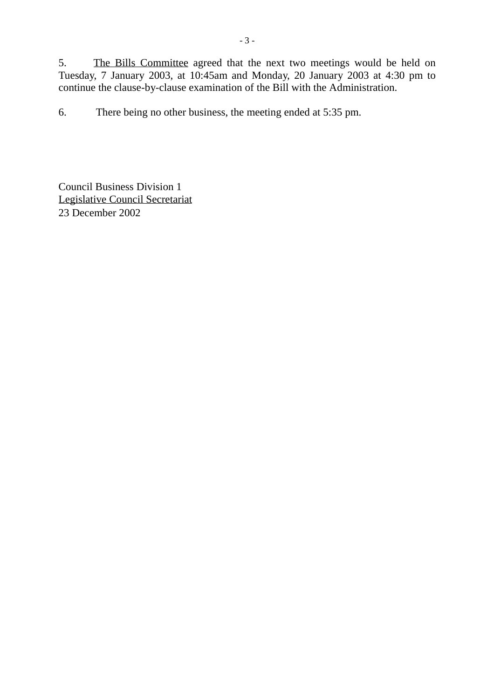5. The Bills Committee agreed that the next two meetings would be held on Tuesday, 7 January 2003, at 10:45am and Monday, 20 January 2003 at 4:30 pm to continue the clause-by-clause examination of the Bill with the Administration.

6. There being no other business, the meeting ended at 5:35 pm.

Council Business Division 1 Legislative Council Secretariat 23 December 2002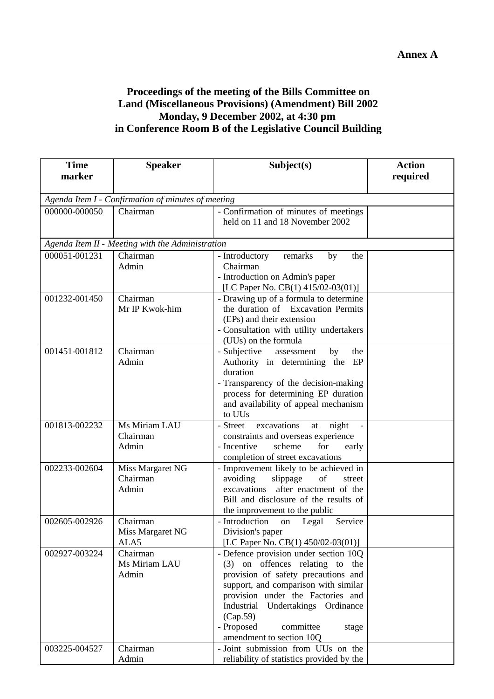# **Proceedings of the meeting of the Bills Committee on Land (Miscellaneous Provisions) (Amendment) Bill 2002 Monday, 9 December 2002, at 4:30 pm in Conference Room B of the Legislative Council Building**

| <b>Time</b>                                        | <b>Speaker</b>                                   | Subject(s)                                                      | <b>Action</b> |  |  |  |
|----------------------------------------------------|--------------------------------------------------|-----------------------------------------------------------------|---------------|--|--|--|
| marker                                             |                                                  |                                                                 | required      |  |  |  |
|                                                    |                                                  |                                                                 |               |  |  |  |
| Agenda Item I - Confirmation of minutes of meeting |                                                  |                                                                 |               |  |  |  |
| 000000-000050                                      | Chairman                                         | - Confirmation of minutes of meetings                           |               |  |  |  |
|                                                    |                                                  | held on 11 and 18 November 2002                                 |               |  |  |  |
|                                                    |                                                  |                                                                 |               |  |  |  |
|                                                    | Agenda Item II - Meeting with the Administration |                                                                 |               |  |  |  |
| 000051-001231                                      | Chairman                                         | - Introductory<br>remarks<br>the<br>by                          |               |  |  |  |
|                                                    | Admin                                            | Chairman                                                        |               |  |  |  |
|                                                    |                                                  | - Introduction on Admin's paper                                 |               |  |  |  |
|                                                    |                                                  | [LC Paper No. CB(1) 415/02-03(01)]                              |               |  |  |  |
| 001232-001450                                      | Chairman                                         | - Drawing up of a formula to determine                          |               |  |  |  |
|                                                    | Mr IP Kwok-him                                   | the duration of Excavation Permits                              |               |  |  |  |
|                                                    |                                                  | (EPs) and their extension                                       |               |  |  |  |
|                                                    |                                                  | - Consultation with utility undertakers                         |               |  |  |  |
| 001451-001812                                      | $\overline{\text{Chairman}}$                     | (UUs) on the formula<br>- Subjective<br>the<br>by<br>assessment |               |  |  |  |
|                                                    | Admin                                            | Authority in determining the EP                                 |               |  |  |  |
|                                                    |                                                  | duration                                                        |               |  |  |  |
|                                                    |                                                  | - Transparency of the decision-making                           |               |  |  |  |
|                                                    |                                                  | process for determining EP duration                             |               |  |  |  |
|                                                    |                                                  | and availability of appeal mechanism                            |               |  |  |  |
|                                                    |                                                  | to UUs                                                          |               |  |  |  |
| 001813-002232                                      | Ms Miriam LAU                                    | excavations<br>night<br>- Street<br>at                          |               |  |  |  |
|                                                    | Chairman                                         | constraints and overseas experience                             |               |  |  |  |
|                                                    | Admin                                            | - Incentive<br>scheme<br>for<br>early                           |               |  |  |  |
|                                                    |                                                  | completion of street excavations                                |               |  |  |  |
| 002233-002604                                      | Miss Margaret NG                                 | - Improvement likely to be achieved in                          |               |  |  |  |
|                                                    | Chairman                                         | avoiding<br>slippage<br>of<br>street                            |               |  |  |  |
|                                                    | Admin                                            | excavations after enactment of the                              |               |  |  |  |
|                                                    |                                                  | Bill and disclosure of the results of                           |               |  |  |  |
| 002605-002926                                      |                                                  | the improvement to the public                                   |               |  |  |  |
|                                                    | Chairman<br>Miss Margaret NG                     | - Introduction<br>Service<br>on Legal<br>Division's paper       |               |  |  |  |
|                                                    | ALA5                                             | [LC Paper No. CB(1) 450/02-03(01)]                              |               |  |  |  |
| 002927-003224                                      | Chairman                                         | - Defence provision under section 10Q                           |               |  |  |  |
|                                                    | Ms Miriam LAU                                    | (3) on offences relating to<br>the                              |               |  |  |  |
|                                                    | Admin                                            | provision of safety precautions and                             |               |  |  |  |
|                                                    |                                                  | support, and comparison with similar                            |               |  |  |  |
|                                                    |                                                  | provision under the Factories and                               |               |  |  |  |
|                                                    |                                                  | Industrial Undertakings Ordinance                               |               |  |  |  |
|                                                    |                                                  | (Cap.59)                                                        |               |  |  |  |
|                                                    |                                                  | - Proposed<br>committee<br>stage                                |               |  |  |  |
|                                                    |                                                  | amendment to section 10Q                                        |               |  |  |  |
| 003225-004527                                      | Chairman                                         | - Joint submission from UUs on the                              |               |  |  |  |
|                                                    | Admin                                            | reliability of statistics provided by the                       |               |  |  |  |